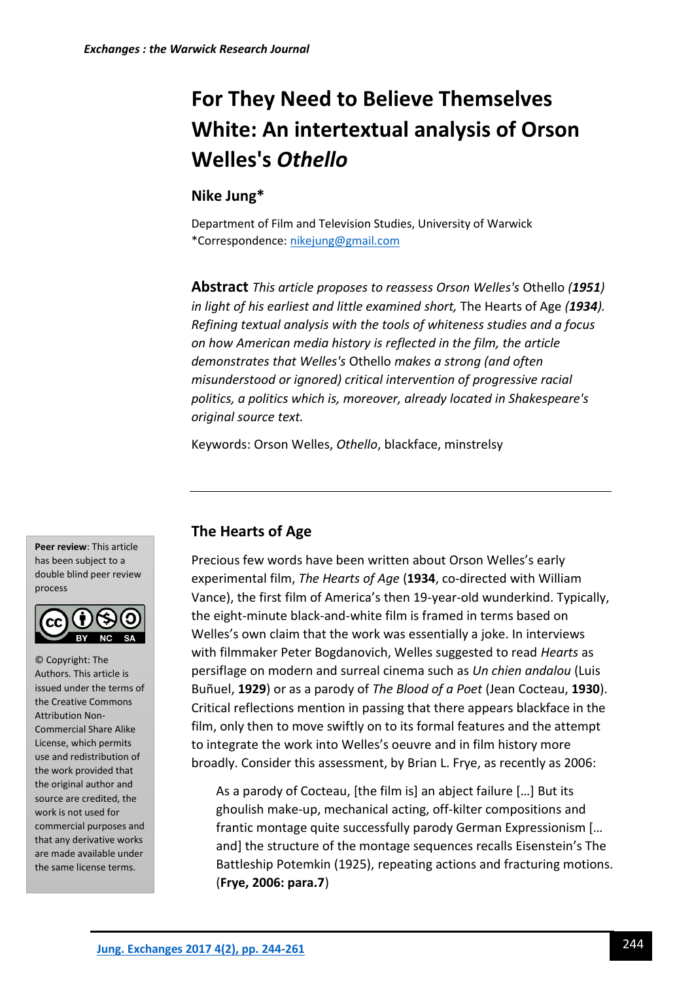# **For They Need to Believe Themselves White: An intertextual analysis of Orson Welles's** *Othello*

## **Nike Jung\***

Department of Film and Television Studies, University of Warwick \*Correspondence[: nikejung@gmail.com](mailto:nikejung@gmail.com)

**Abstract** *This article proposes to reassess Orson Welles's* Othello *(1951) in light of his earliest and little examined short,* The Hearts of Age *(1934). Refining textual analysis with the tools of whiteness studies and a focus on how American media history is reflected in the film, the article demonstrates that Welles's* Othello *makes a strong (and often misunderstood or ignored) critical intervention of progressive racial politics, a politics which is, moreover, already located in Shakespeare's original source text.*

Keywords: Orson Welles, *Othello*, blackface, minstrelsy

**Peer review**: This article has been subject to a double blind peer review process



© Copyright: The Authors. This article is issued under the terms of the Creative Commons Attribution Non-Commercial Share Alike License, which permits use and redistribution of the work provided that the original author and source are credited, the work is not used for commercial purposes and that any derivative works are made available under the same license terms.

## **The Hearts of Age**

Precious few words have been written about Orson Welles's early experimental film, *The Hearts of Age* (**1934**, co-directed with William Vance), the first film of America's then 19-year-old wunderkind. Typically, the eight-minute black-and-white film is framed in terms based on Welles's own claim that the work was essentially a joke. In interviews with filmmaker Peter Bogdanovich, Welles suggested to read *Hearts* as persiflage on modern and surreal cinema such as *Un chien andalou* (Luis Buñuel, **1929**) or as a parody of *The Blood of a Poet* (Jean Cocteau, **1930**). Critical reflections mention in passing that there appears blackface in the film, only then to move swiftly on to its formal features and the attempt to integrate the work into Welles's oeuvre and in film history more broadly. Consider this assessment, by Brian L. Frye, as recently as 2006:

As a parody of Cocteau, [the film is] an abject failure […] But its ghoulish make-up, mechanical acting, off-kilter compositions and frantic montage quite successfully parody German Expressionism [… and] the structure of the montage sequences recalls Eisenstein's The Battleship Potemkin (1925), repeating actions and fracturing motions. (**Frye, 2006: para.7**)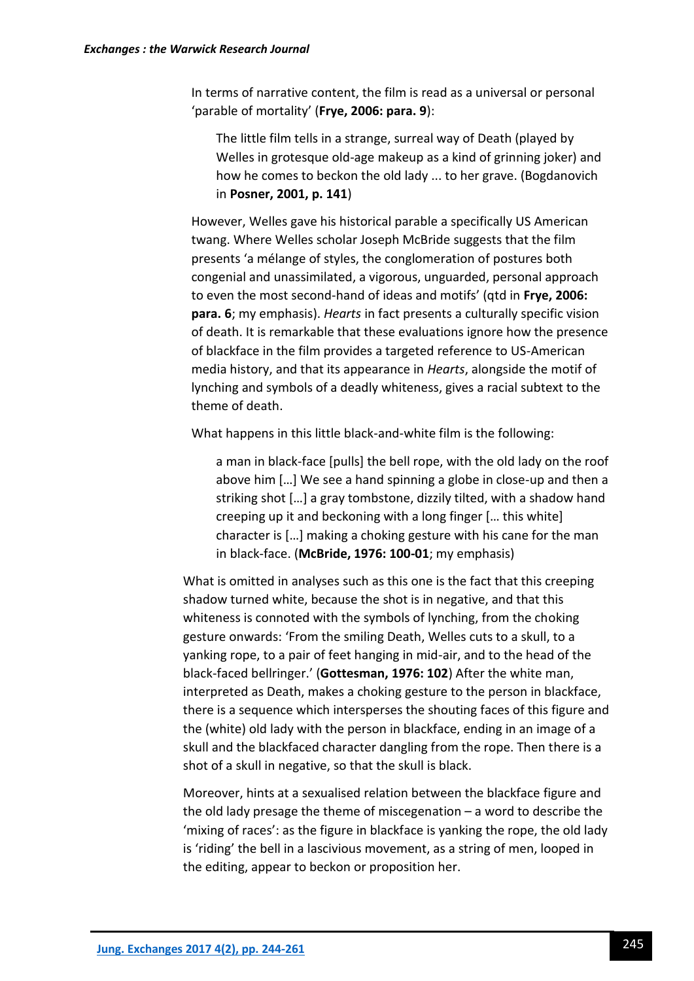In terms of narrative content, the film is read as a universal or personal 'parable of mortality' (**Frye, 2006: para. 9**):

The little film tells in a strange, surreal way of Death (played by Welles in grotesque old-age makeup as a kind of grinning joker) and how he comes to beckon the old lady ... to her grave. (Bogdanovich in **Posner, 2001, p. 141**)

However, Welles gave his historical parable a specifically US American twang. Where Welles scholar Joseph McBride suggests that the film presents 'a mélange of styles, the conglomeration of postures both congenial and unassimilated, a vigorous, unguarded, personal approach to even the most second-hand of ideas and motifs' (qtd in **Frye, 2006: para. 6**; my emphasis). *Hearts* in fact presents a culturally specific vision of death. It is remarkable that these evaluations ignore how the presence of blackface in the film provides a targeted reference to US-American media history, and that its appearance in *Hearts*, alongside the motif of lynching and symbols of a deadly whiteness, gives a racial subtext to the theme of death.

What happens in this little black-and-white film is the following:

a man in black-face [pulls] the bell rope, with the old lady on the roof above him […] We see a hand spinning a globe in close-up and then a striking shot […] a gray tombstone, dizzily tilted, with a shadow hand creeping up it and beckoning with a long finger [… this white] character is […] making a choking gesture with his cane for the man in black-face. (**McBride, 1976: 100-01**; my emphasis)

What is omitted in analyses such as this one is the fact that this creeping shadow turned white, because the shot is in negative, and that this whiteness is connoted with the symbols of lynching, from the choking gesture onwards: 'From the smiling Death, Welles cuts to a skull, to a yanking rope, to a pair of feet hanging in mid-air, and to the head of the black-faced bellringer.' (**Gottesman, 1976: 102**) After the white man, interpreted as Death, makes a choking gesture to the person in blackface, there is a sequence which intersperses the shouting faces of this figure and the (white) old lady with the person in blackface, ending in an image of a skull and the blackfaced character dangling from the rope. Then there is a shot of a skull in negative, so that the skull is black.

Moreover, hints at a sexualised relation between the blackface figure and the old lady presage the theme of miscegenation – a word to describe the 'mixing of races': as the figure in blackface is yanking the rope, the old lady is 'riding' the bell in a lascivious movement, as a string of men, looped in the editing, appear to beckon or proposition her.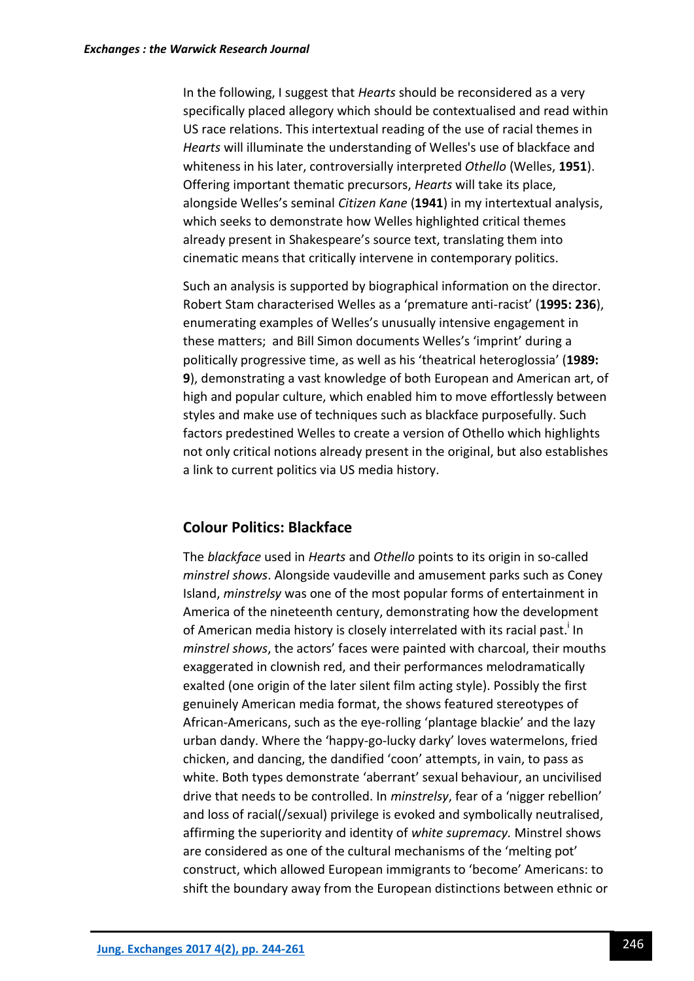In the following, I suggest that *Hearts* should be reconsidered as a very specifically placed allegory which should be contextualised and read within US race relations. This intertextual reading of the use of racial themes in *Hearts* will illuminate the understanding of Welles's use of blackface and whiteness in his later, controversially interpreted *Othello* (Welles, **1951**). Offering important thematic precursors, *Hearts* will take its place, alongside Welles's seminal *Citizen Kane* (**1941**) in my intertextual analysis, which seeks to demonstrate how Welles highlighted critical themes already present in Shakespeare's source text, translating them into cinematic means that critically intervene in contemporary politics.

Such an analysis is supported by biographical information on the director. Robert Stam characterised Welles as a 'premature anti-racist' (**1995: 236**), enumerating examples of Welles's unusually intensive engagement in these matters; and Bill Simon documents Welles's 'imprint' during a politically progressive time, as well as his 'theatrical heteroglossia' (**1989: 9**), demonstrating a vast knowledge of both European and American art, of high and popular culture, which enabled him to move effortlessly between styles and make use of techniques such as blackface purposefully. Such factors predestined Welles to create a version of Othello which highlights not only critical notions already present in the original, but also establishes a link to current politics via US media history.

### **Colour Politics: Blackface**

The *blackface* used in *Hearts* and *Othello* points to its origin in so-called *minstrel shows*. Alongside vaudeville and amusement parks such as Coney Island, *minstrelsy* was one of the most popular forms of entertainment in America of the nineteenth century, demonstrating how the development of American media history is closely interrelated with its racial past.<sup>i</sup> In *minstrel shows*, the actors' faces were painted with charcoal, their mouths exaggerated in clownish red, and their performances melodramatically exalted (one origin of the later silent film acting style). Possibly the first genuinely American media format, the shows featured stereotypes of African-Americans, such as the eye-rolling 'plantage blackie' and the lazy urban dandy. Where the 'happy-go-lucky darky' loves watermelons, fried chicken, and dancing, the dandified 'coon' attempts, in vain, to pass as white. Both types demonstrate 'aberrant' sexual behaviour, an uncivilised drive that needs to be controlled. In *minstrelsy*, fear of a 'nigger rebellion' and loss of racial(/sexual) privilege is evoked and symbolically neutralised, affirming the superiority and identity of *white supremacy.* Minstrel shows are considered as one of the cultural mechanisms of the 'melting pot' construct, which allowed European immigrants to 'become' Americans: to shift the boundary away from the European distinctions between ethnic or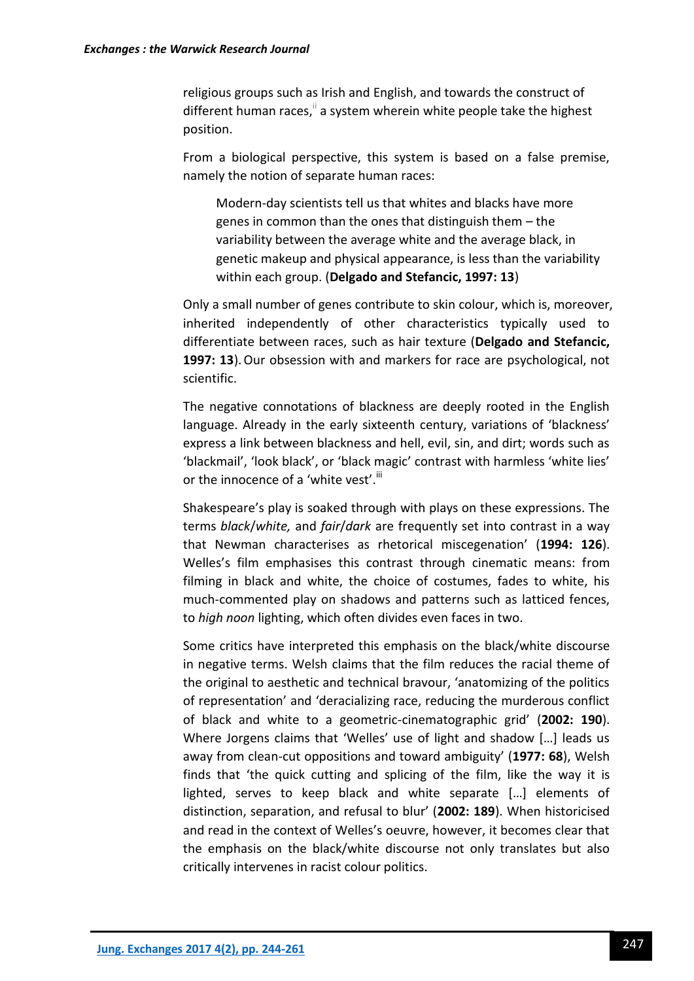religious groups such as Irish and English, and towards the construct of different human races, $\mathbb{I}$  a system wherein white people take the highest position.

From a biological perspective, this system is based on a false premise, namely the notion of separate human races:

Modern-day scientists tell us that whites and blacks have more genes in common than the ones that distinguish them – the variability between the average white and the average black, in genetic makeup and physical appearance, is less than the variability within each group. (**Delgado and Stefancic, 1997: 13**)

Only a small number of genes contribute to skin colour, which is, moreover, inherited independently of other characteristics typically used to differentiate between races, such as hair texture (**Delgado and Stefancic, 1997: 13**). Our obsession with and markers for race are psychological, not scientific.

The negative connotations of blackness are deeply rooted in the English language. Already in the early sixteenth century, variations of 'blackness' express a link between blackness and hell, evil, sin, and dirt; words such as 'blackmail', 'look black', or 'black magic' contrast with harmless 'white lies' or the innocence of a 'white vest'.<sup>iii</sup>

Shakespeare's play is soaked through with plays on these expressions. The terms *black*/*white,* and *fair*/*dark* are frequently set into contrast in a way that Newman characterises as rhetorical miscegenation' (**1994: 126**). Welles's film emphasises this contrast through cinematic means: from filming in black and white, the choice of costumes, fades to white, his much-commented play on shadows and patterns such as latticed fences, to *high noon* lighting, which often divides even faces in two.

Some critics have interpreted this emphasis on the black/white discourse in negative terms. Welsh claims that the film reduces the racial theme of the original to aesthetic and technical bravour, 'anatomizing of the politics of representation' and 'deracializing race, reducing the murderous conflict of black and white to a geometric-cinematographic grid' (**2002: 190**). Where Jorgens claims that 'Welles' use of light and shadow […] leads us away from clean-cut oppositions and toward ambiguity' (**1977: 68**), Welsh finds that 'the quick cutting and splicing of the film, like the way it is lighted, serves to keep black and white separate […] elements of distinction, separation, and refusal to blur' (**2002: 189**). When historicised and read in the context of Welles's oeuvre, however, it becomes clear that the emphasis on the black/white discourse not only translates but also critically intervenes in racist colour politics.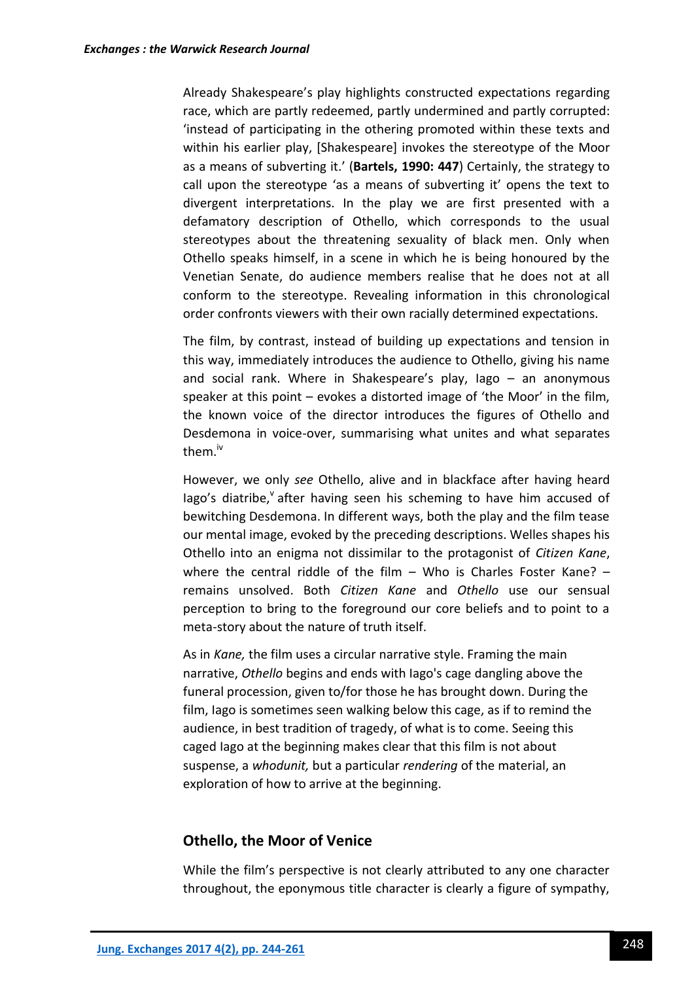Already Shakespeare's play highlights constructed expectations regarding race, which are partly redeemed, partly undermined and partly corrupted: 'instead of participating in the othering promoted within these texts and within his earlier play. [Shakespeare] invokes the stereotype of the Moor as a means of subverting it.' (**Bartels, 1990: 447**) Certainly, the strategy to call upon the stereotype 'as a means of subverting it' opens the text to divergent interpretations. In the play we are first presented with a defamatory description of Othello, which corresponds to the usual stereotypes about the threatening sexuality of black men. Only when Othello speaks himself, in a scene in which he is being honoured by the Venetian Senate, do audience members realise that he does not at all conform to the stereotype. Revealing information in this chronological order confronts viewers with their own racially determined expectations.

The film, by contrast, instead of building up expectations and tension in this way, immediately introduces the audience to Othello, giving his name and social rank. Where in Shakespeare's play, Iago – an anonymous speaker at this point – evokes a distorted image of 'the Moor' in the film, the known voice of the director introduces the figures of Othello and Desdemona in voice-over, summarising what unites and what separates them.<sup>iv</sup>

However, we only *see* Othello, alive and in blackface after having heard lago's diatribe, after having seen his scheming to have him accused of bewitching Desdemona. In different ways, both the play and the film tease our mental image, evoked by the preceding descriptions. Welles shapes his Othello into an enigma not dissimilar to the protagonist of *Citizen Kane*, where the central riddle of the film – Who is Charles Foster Kane?  $$ remains unsolved. Both *Citizen Kane* and *Othello* use our sensual perception to bring to the foreground our core beliefs and to point to a meta-story about the nature of truth itself.

As in *Kane,* the film uses a circular narrative style. Framing the main narrative, *Othello* begins and ends with Iago's cage dangling above the funeral procession, given to/for those he has brought down. During the film, Iago is sometimes seen walking below this cage, as if to remind the audience, in best tradition of tragedy, of what is to come. Seeing this caged Iago at the beginning makes clear that this film is not about suspense, a *whodunit,* but a particular *rendering* of the material, an exploration of how to arrive at the beginning.

## **Othello, the Moor of Venice**

While the film's perspective is not clearly attributed to any one character throughout, the eponymous title character is clearly a figure of sympathy,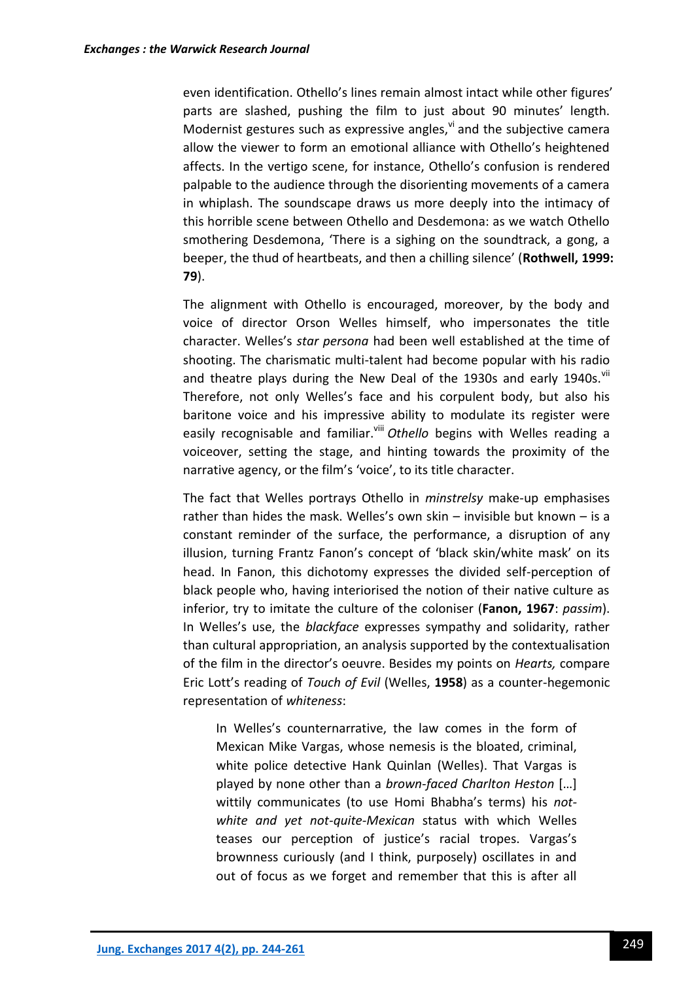even identification. Othello's lines remain almost intact while other figures' parts are slashed, pushing the film to just about 90 minutes' length. Modernist gestures such as expressive angles, $v$  and the subjective camera allow the viewer to form an emotional alliance with Othello's heightened affects. In the vertigo scene, for instance, Othello's confusion is rendered palpable to the audience through the disorienting movements of a camera in whiplash. The soundscape draws us more deeply into the intimacy of this horrible scene between Othello and Desdemona: as we watch Othello smothering Desdemona, 'There is a sighing on the soundtrack, a gong, a beeper, the thud of heartbeats, and then a chilling silence' (**Rothwell, 1999: 79**).

The alignment with Othello is encouraged, moreover, by the body and voice of director Orson Welles himself, who impersonates the title character. Welles's *star persona* had been well established at the time of shooting. The charismatic multi-talent had become popular with his radio and theatre plays during the New Deal of the 1930s and early 1940s. Vil Therefore, not only Welles's face and his corpulent body, but also his baritone voice and his impressive ability to modulate its register were easily recognisable and familiar.<sup>viii</sup> Othello begins with Welles reading a voiceover, setting the stage, and hinting towards the proximity of the narrative agency, or the film's 'voice', to its title character.

The fact that Welles portrays Othello in *minstrelsy* make-up emphasises rather than hides the mask. Welles's own skin – invisible but known – is a constant reminder of the surface, the performance, a disruption of any illusion, turning Frantz Fanon's concept of 'black skin/white mask' on its head. In Fanon, this dichotomy expresses the divided self-perception of black people who, having interiorised the notion of their native culture as inferior, try to imitate the culture of the coloniser (**Fanon, 1967**: *passim*). In Welles's use, the *blackface* expresses sympathy and solidarity, rather than cultural appropriation, an analysis supported by the contextualisation of the film in the director's oeuvre. Besides my points on *Hearts,* compare Eric Lott's reading of *Touch of Evil* (Welles, **1958**) as a counter-hegemonic representation of *whiteness*:

In Welles's counternarrative, the law comes in the form of Mexican Mike Vargas, whose nemesis is the bloated, criminal, white police detective Hank Quinlan (Welles). That Vargas is played by none other than a *brown-faced Charlton Heston* […] wittily communicates (to use Homi Bhabha's terms) his *notwhite and yet not-quite-Mexican* status with which Welles teases our perception of justice's racial tropes. Vargas's brownness curiously (and I think, purposely) oscillates in and out of focus as we forget and remember that this is after all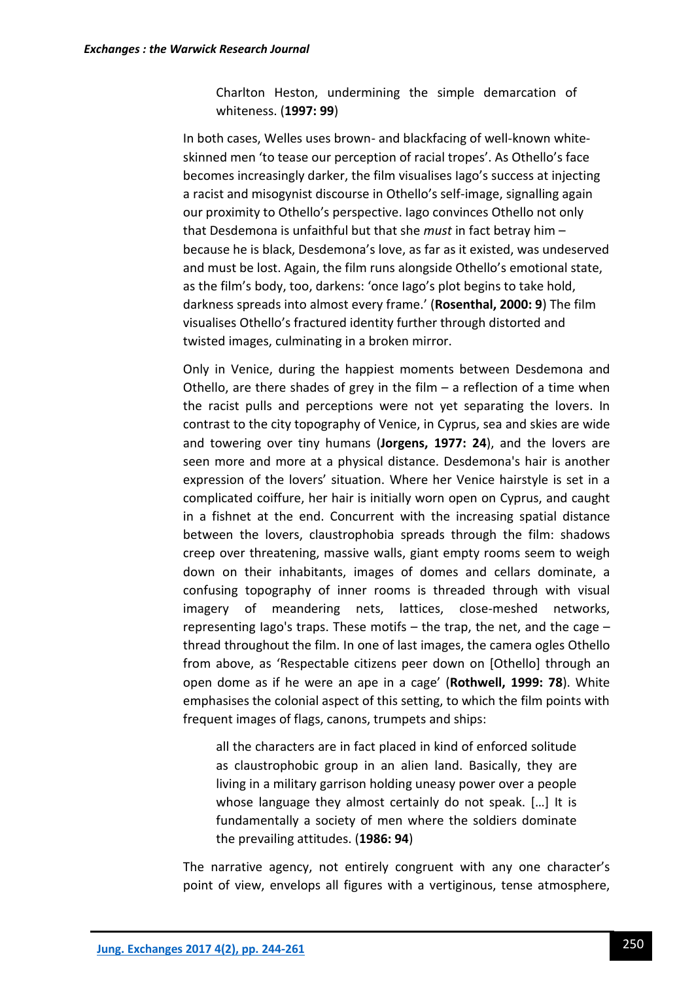Charlton Heston, undermining the simple demarcation of whiteness. (**1997: 99**)

In both cases, Welles uses brown- and blackfacing of well-known whiteskinned men 'to tease our perception of racial tropes'. As Othello's face becomes increasingly darker, the film visualises Iago's success at injecting a racist and misogynist discourse in Othello's self-image, signalling again our proximity to Othello's perspective. Iago convinces Othello not only that Desdemona is unfaithful but that she *must* in fact betray him – because he is black, Desdemona's love, as far as it existed, was undeserved and must be lost. Again, the film runs alongside Othello's emotional state, as the film's body, too, darkens: 'once Iago's plot begins to take hold, darkness spreads into almost every frame.' (**Rosenthal, 2000: 9**) The film visualises Othello's fractured identity further through distorted and twisted images, culminating in a broken mirror.

Only in Venice, during the happiest moments between Desdemona and Othello, are there shades of grey in the film  $-$  a reflection of a time when the racist pulls and perceptions were not yet separating the lovers. In contrast to the city topography of Venice, in Cyprus, sea and skies are wide and towering over tiny humans (**Jorgens, 1977: 24**), and the lovers are seen more and more at a physical distance. Desdemona's hair is another expression of the lovers' situation. Where her Venice hairstyle is set in a complicated coiffure, her hair is initially worn open on Cyprus, and caught in a fishnet at the end. Concurrent with the increasing spatial distance between the lovers, claustrophobia spreads through the film: shadows creep over threatening, massive walls, giant empty rooms seem to weigh down on their inhabitants, images of domes and cellars dominate, a confusing topography of inner rooms is threaded through with visual imagery of meandering nets, lattices, close-meshed networks, representing Iago's traps. These motifs – the trap, the net, and the cage – thread throughout the film. In one of last images, the camera ogles Othello from above, as 'Respectable citizens peer down on [Othello] through an open dome as if he were an ape in a cage' (**Rothwell, 1999: 78**). White emphasises the colonial aspect of this setting, to which the film points with frequent images of flags, canons, trumpets and ships:

all the characters are in fact placed in kind of enforced solitude as claustrophobic group in an alien land. Basically, they are living in a military garrison holding uneasy power over a people whose language they almost certainly do not speak. […] It is fundamentally a society of men where the soldiers dominate the prevailing attitudes. (**1986: 94**)

The narrative agency, not entirely congruent with any one character's point of view, envelops all figures with a vertiginous, tense atmosphere,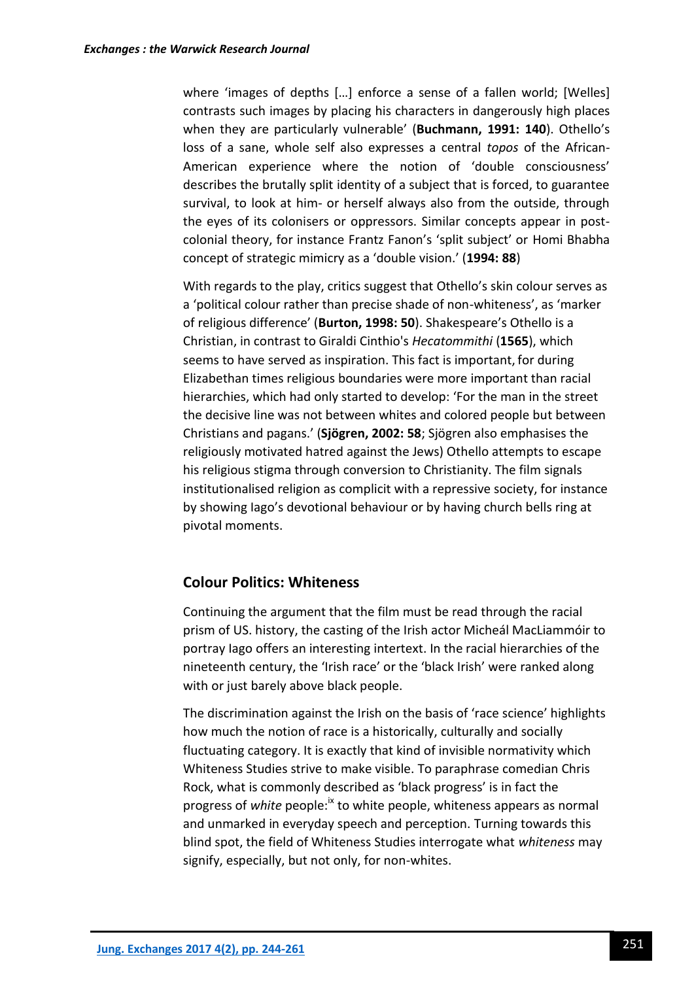where 'images of depths [...] enforce a sense of a fallen world; [Welles] contrasts such images by placing his characters in dangerously high places when they are particularly vulnerable' (**Buchmann, 1991: 140**). Othello's loss of a sane, whole self also expresses a central *topos* of the African-American experience where the notion of 'double consciousness' describes the brutally split identity of a subject that is forced, to guarantee survival, to look at him- or herself always also from the outside, through the eyes of its colonisers or oppressors. Similar concepts appear in postcolonial theory, for instance Frantz Fanon's 'split subject' or Homi Bhabha concept of strategic mimicry as a 'double vision.' (**1994: 88**)

With regards to the play, critics suggest that Othello's skin colour serves as a 'political colour rather than precise shade of non-whiteness', as 'marker of religious difference' (**Burton, 1998: 50**). Shakespeare's Othello is a Christian, in contrast to Giraldi Cinthio's *Hecatommithi* (**1565**), which seems to have served as inspiration. This fact is important, for during Elizabethan times religious boundaries were more important than racial hierarchies, which had only started to develop: 'For the man in the street the decisive line was not between whites and colored people but between Christians and pagans.' (**Sjögren, 2002: 58**; Sjögren also emphasises the religiously motivated hatred against the Jews) Othello attempts to escape his religious stigma through conversion to Christianity. The film signals institutionalised religion as complicit with a repressive society, for instance by showing Iago's devotional behaviour or by having church bells ring at pivotal moments.

## **Colour Politics: Whiteness**

Continuing the argument that the film must be read through the racial prism of US. history, the casting of the Irish actor Micheál MacLiammóir to portray Iago offers an interesting intertext. In the racial hierarchies of the nineteenth century, the 'Irish race' or the 'black Irish' were ranked along with or just barely above black people.

The discrimination against the Irish on the basis of 'race science' highlights how much the notion of race is a historically, culturally and socially fluctuating category. It is exactly that kind of invisible normativity which Whiteness Studies strive to make visible. To paraphrase comedian Chris Rock, what is commonly described as 'black progress' is in fact the progress of *white* people:<sup>ix</sup> to white people, whiteness appears as normal and unmarked in everyday speech and perception. Turning towards this blind spot, the field of Whiteness Studies interrogate what *whiteness* may signify, especially, but not only, for non-whites.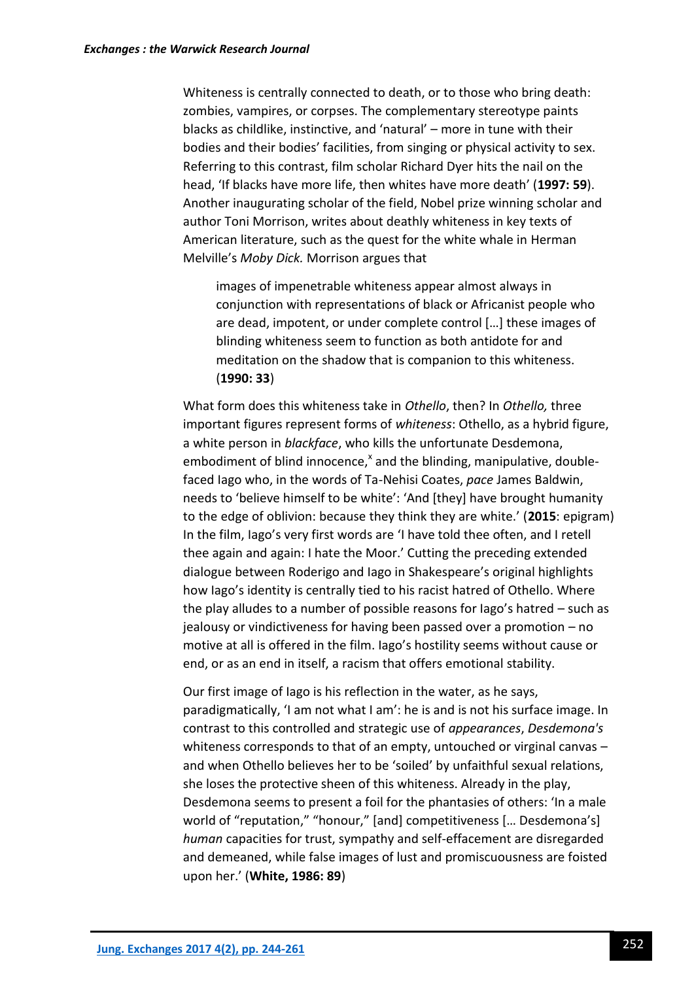Whiteness is centrally connected to death, or to those who bring death: zombies, vampires, or corpses. The complementary stereotype paints blacks as childlike, instinctive, and 'natural' – more in tune with their bodies and their bodies' facilities, from singing or physical activity to sex. Referring to this contrast, film scholar Richard Dyer hits the nail on the head, 'If blacks have more life, then whites have more death' (**1997: 59**). Another inaugurating scholar of the field, Nobel prize winning scholar and author Toni Morrison, writes about deathly whiteness in key texts of American literature, such as the quest for the white whale in Herman Melville's *Moby Dick.* Morrison argues that

images of impenetrable whiteness appear almost always in conjunction with representations of black or Africanist people who are dead, impotent, or under complete control […] these images of blinding whiteness seem to function as both antidote for and meditation on the shadow that is companion to this whiteness. (**1990: 33**)

What form does this whiteness take in *Othello*, then? In *Othello,* three important figures represent forms of *whiteness*: Othello, as a hybrid figure, a white person in *blackface*, who kills the unfortunate Desdemona, embodiment of blind innocence,<sup>x</sup> and the blinding, manipulative, doublefaced Iago who, in the words of Ta-Nehisi Coates, *pace* James Baldwin, needs to 'believe himself to be white': 'And [they] have brought humanity to the edge of oblivion: because they think they are white.' (**2015**: epigram) In the film, Iago's very first words are 'I have told thee often, and I retell thee again and again: I hate the Moor.' Cutting the preceding extended dialogue between Roderigo and Iago in Shakespeare's original highlights how Iago's identity is centrally tied to his racist hatred of Othello. Where the play alludes to a number of possible reasons for Iago's hatred – such as jealousy or vindictiveness for having been passed over a promotion – no motive at all is offered in the film. Iago's hostility seems without cause or end, or as an end in itself, a racism that offers emotional stability.

Our first image of Iago is his reflection in the water, as he says, paradigmatically, 'I am not what I am': he is and is not his surface image. In contrast to this controlled and strategic use of *appearances*, *Desdemona's* whiteness corresponds to that of an empty, untouched or virginal canvas and when Othello believes her to be 'soiled' by unfaithful sexual relations, she loses the protective sheen of this whiteness. Already in the play, Desdemona seems to present a foil for the phantasies of others: 'In a male world of "reputation," "honour," [and] competitiveness [… Desdemona's] *human* capacities for trust, sympathy and self-effacement are disregarded and demeaned, while false images of lust and promiscuousness are foisted upon her.' (**White, 1986: 89**)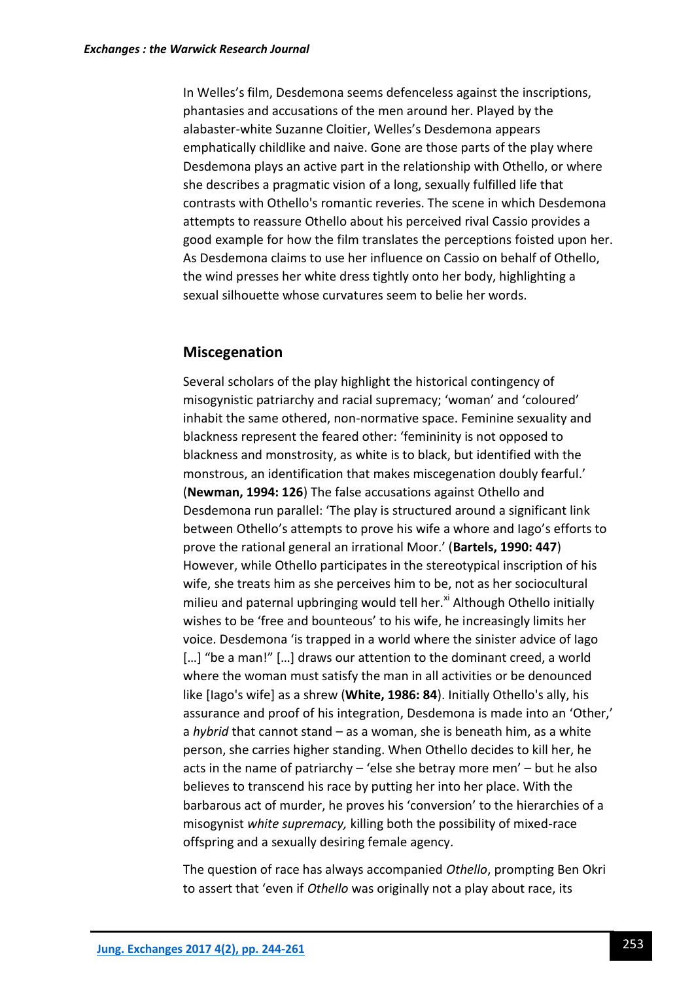In Welles's film, Desdemona seems defenceless against the inscriptions, phantasies and accusations of the men around her. Played by the alabaster-white Suzanne Cloitier, Welles's Desdemona appears emphatically childlike and naive. Gone are those parts of the play where Desdemona plays an active part in the relationship with Othello, or where she describes a pragmatic vision of a long, sexually fulfilled life that contrasts with Othello's romantic reveries. The scene in which Desdemona attempts to reassure Othello about his perceived rival Cassio provides a good example for how the film translates the perceptions foisted upon her. As Desdemona claims to use her influence on Cassio on behalf of Othello, the wind presses her white dress tightly onto her body, highlighting a sexual silhouette whose curvatures seem to belie her words.

### **Miscegenation**

Several scholars of the play highlight the historical contingency of misogynistic patriarchy and racial supremacy; 'woman' and 'coloured' inhabit the same othered, non-normative space. Feminine sexuality and blackness represent the feared other: 'femininity is not opposed to blackness and monstrosity, as white is to black, but identified with the monstrous, an identification that makes miscegenation doubly fearful.' (**Newman, 1994: 126**) The false accusations against Othello and Desdemona run parallel: 'The play is structured around a significant link between Othello's attempts to prove his wife a whore and Iago's efforts to prove the rational general an irrational Moor.' (**Bartels, 1990: 447**) However, while Othello participates in the stereotypical inscription of his wife, she treats him as she perceives him to be, not as her sociocultural milieu and paternal upbringing would tell her.<sup>xi</sup> Although Othello initially wishes to be 'free and bounteous' to his wife, he increasingly limits her voice. Desdemona 'is trapped in a world where the sinister advice of Iago [...] "be a man!" [...] draws our attention to the dominant creed, a world where the woman must satisfy the man in all activities or be denounced like [Iago's wife] as a shrew (**White, 1986: 84**). Initially Othello's ally, his assurance and proof of his integration, Desdemona is made into an 'Other,' a *hybrid* that cannot stand – as a woman, she is beneath him, as a white person, she carries higher standing. When Othello decides to kill her, he acts in the name of patriarchy – 'else she betray more men' – but he also believes to transcend his race by putting her into her place. With the barbarous act of murder, he proves his 'conversion' to the hierarchies of a misogynist *white supremacy,* killing both the possibility of mixed-race offspring and a sexually desiring female agency.

The question of race has always accompanied *Othello*, prompting Ben Okri to assert that 'even if *Othello* was originally not a play about race, its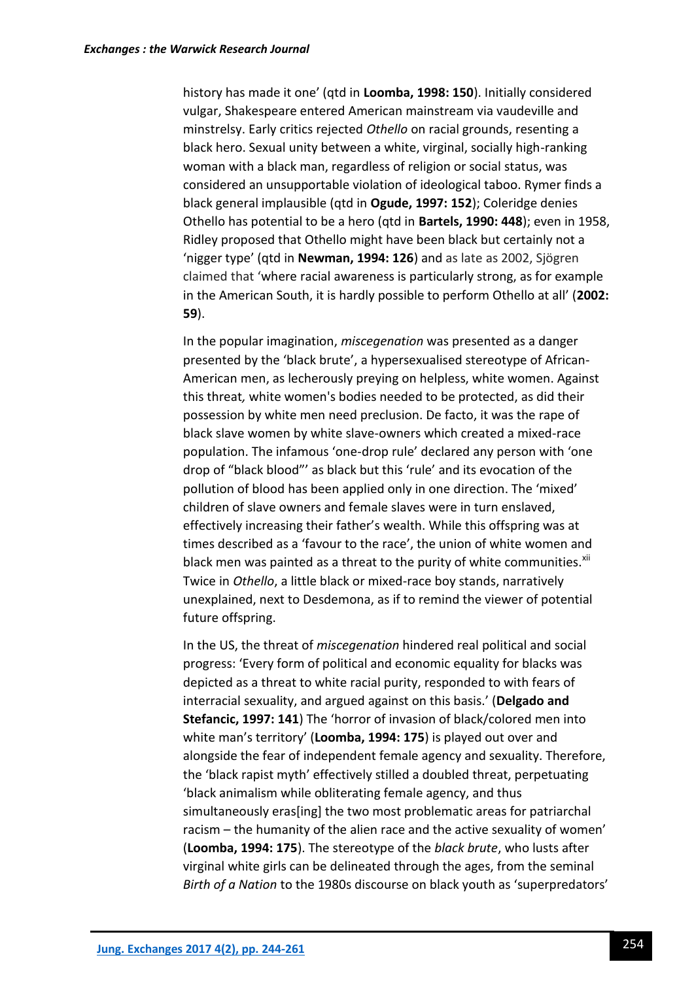history has made it one' (qtd in **Loomba, 1998: 150**). Initially considered vulgar, Shakespeare entered American mainstream via vaudeville and minstrelsy. Early critics rejected *Othello* on racial grounds, resenting a black hero. Sexual unity between a white, virginal, socially high-ranking woman with a black man, regardless of religion or social status, was considered an unsupportable violation of ideological taboo. Rymer finds a black general implausible (qtd in **Ogude, 1997: 152**); Coleridge denies Othello has potential to be a hero (qtd in **Bartels, 1990: 448**); even in 1958, Ridley proposed that Othello might have been black but certainly not a 'nigger type' (qtd in **Newman, 1994: 126**) and as late as 2002, Sjögren claimed that 'where racial awareness is particularly strong, as for example in the American South, it is hardly possible to perform Othello at all' (**2002: 59**).

In the popular imagination, *miscegenation* was presented as a danger presented by the 'black brute', a hypersexualised stereotype of African-American men, as lecherously preying on helpless, white women. Against this threat*,* white women's bodies needed to be protected, as did their possession by white men need preclusion. De facto, it was the rape of black slave women by white slave-owners which created a mixed-race population. The infamous 'one-drop rule' declared any person with 'one drop of "black blood"' as black but this 'rule' and its evocation of the pollution of blood has been applied only in one direction. The 'mixed' children of slave owners and female slaves were in turn enslaved, effectively increasing their father's wealth. While this offspring was at times described as a 'favour to the race', the union of white women and black men was painted as a threat to the purity of white communities.<sup>xii</sup> Twice in *Othello*, a little black or mixed-race boy stands, narratively unexplained, next to Desdemona, as if to remind the viewer of potential future offspring.

In the US, the threat of *miscegenation* hindered real political and social progress: 'Every form of political and economic equality for blacks was depicted as a threat to white racial purity, responded to with fears of interracial sexuality, and argued against on this basis.' (**Delgado and Stefancic, 1997: 141**) The 'horror of invasion of black/colored men into white man's territory' (**Loomba, 1994: 175**) is played out over and alongside the fear of independent female agency and sexuality. Therefore, the 'black rapist myth' effectively stilled a doubled threat, perpetuating 'black animalism while obliterating female agency, and thus simultaneously eras[ing] the two most problematic areas for patriarchal racism – the humanity of the alien race and the active sexuality of women' (**Loomba, 1994: 175**). The stereotype of the *black brute*, who lusts after virginal white girls can be delineated through the ages, from the seminal *Birth of a Nation* to the 1980s discourse on black youth as 'superpredators'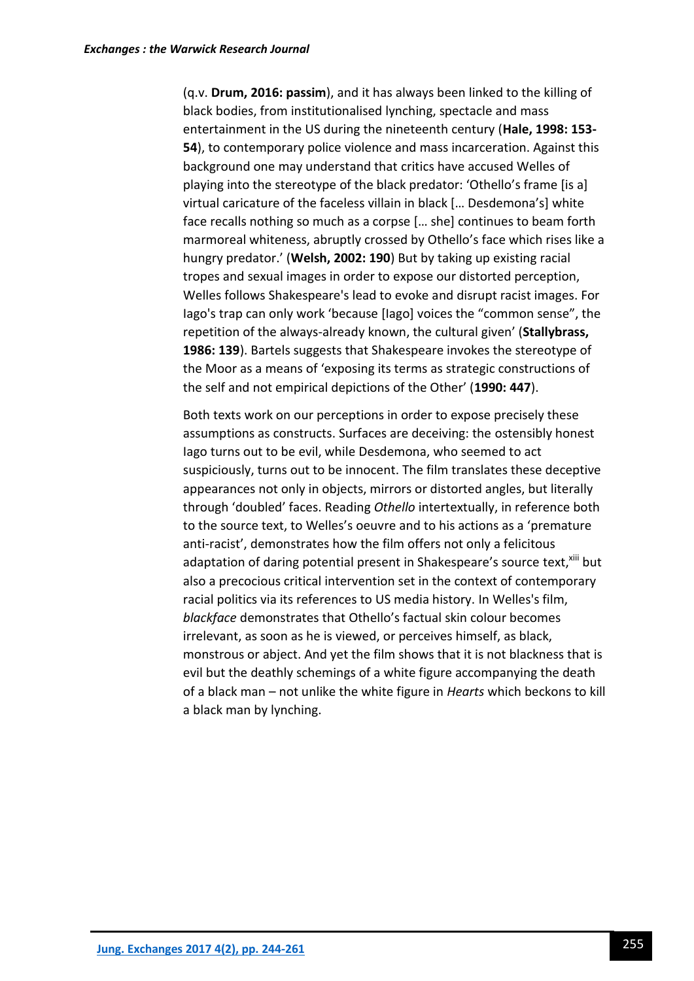(q.v. **Drum, 2016: passim**), and it has always been linked to the killing of black bodies, from institutionalised lynching, spectacle and mass entertainment in the US during the nineteenth century (**Hale, 1998: 153- 54**), to contemporary police violence and mass incarceration. Against this background one may understand that critics have accused Welles of playing into the stereotype of the black predator: 'Othello's frame [is a] virtual caricature of the faceless villain in black [… Desdemona's] white face recalls nothing so much as a corpse [… she] continues to beam forth marmoreal whiteness, abruptly crossed by Othello's face which rises like a hungry predator.' (**Welsh, 2002: 190**) But by taking up existing racial tropes and sexual images in order to expose our distorted perception, Welles follows Shakespeare's lead to evoke and disrupt racist images. For Iago's trap can only work 'because [Iago] voices the "common sense", the repetition of the always-already known, the cultural given' (**Stallybrass, 1986: 139**). Bartels suggests that Shakespeare invokes the stereotype of the Moor as a means of 'exposing its terms as strategic constructions of the self and not empirical depictions of the Other' (**1990: 447**).

Both texts work on our perceptions in order to expose precisely these assumptions as constructs. Surfaces are deceiving: the ostensibly honest Iago turns out to be evil, while Desdemona, who seemed to act suspiciously, turns out to be innocent. The film translates these deceptive appearances not only in objects, mirrors or distorted angles, but literally through 'doubled' faces. Reading *Othello* intertextually, in reference both to the source text, to Welles's oeuvre and to his actions as a 'premature anti-racist', demonstrates how the film offers not only a felicitous adaptation of daring potential present in Shakespeare's source text, xill but also a precocious critical intervention set in the context of contemporary racial politics via its references to US media history. In Welles's film, *blackface* demonstrates that Othello's factual skin colour becomes irrelevant, as soon as he is viewed, or perceives himself, as black, monstrous or abject. And yet the film shows that it is not blackness that is evil but the deathly schemings of a white figure accompanying the death of a black man – not unlike the white figure in *Hearts* which beckons to kill a black man by lynching.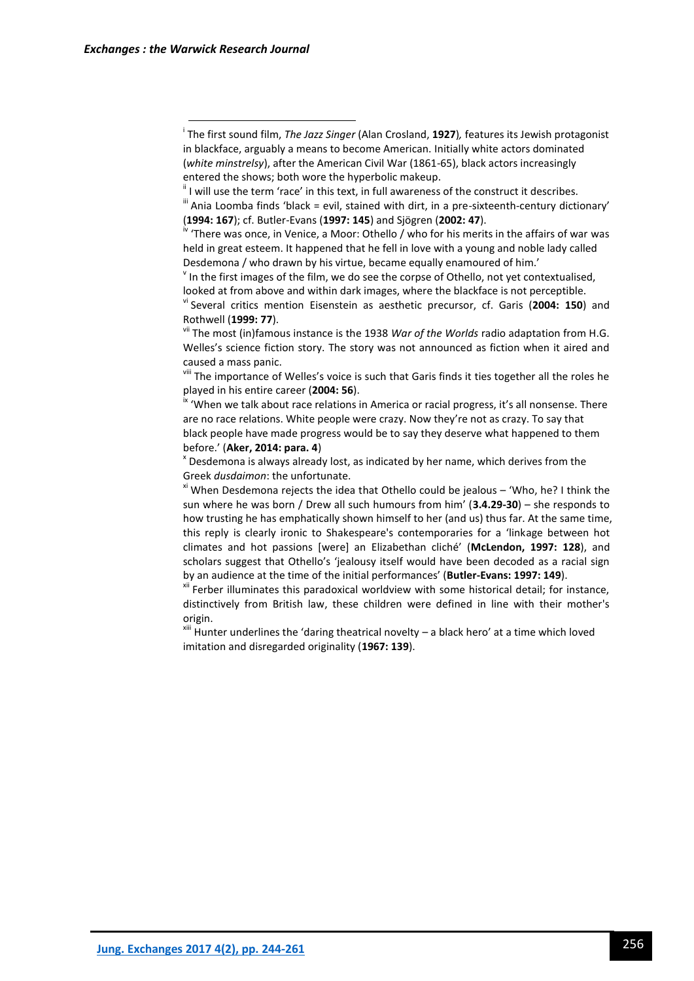xii Ferber illuminates this paradoxical worldview with some historical detail; for instance, distinctively from British law, these children were defined in line with their mother's origin.

 $x$ <sup>iii</sup> Hunter underlines the 'daring theatrical novelty – a black hero' at a time which loved imitation and disregarded originality (**1967: 139**).

i The first sound film, *The Jazz Singer* (Alan Crosland, **1927**)*,* features its Jewish protagonist in blackface, arguably a means to become American. Initially white actors dominated (*white minstrelsy*), after the American Civil War (1861-65), black actors increasingly entered the shows; both wore the hyperbolic makeup.

 $\mathbf{u}$  I will use the term 'race' in this text, in full awareness of the construct it describes.

 $\text{``}$  Ania Loomba finds 'black = evil, stained with dirt, in a pre-sixteenth-century dictionary' (**1994: 167**); cf. Butler-Evans (**1997: 145**) and Sjögren (**2002: 47**).

<sup>&</sup>lt;sup>iv</sup> 'There was once, in Venice, a Moor: Othello / who for his merits in the affairs of war was held in great esteem. It happened that he fell in love with a young and noble lady called Desdemona / who drawn by his virtue, became equally enamoured of him.'

 $\mathbf v$  In the first images of the film, we do see the corpse of Othello, not yet contextualised, looked at from above and within dark images, where the blackface is not perceptible.

vi Several critics mention Eisenstein as aesthetic precursor, cf. Garis (**2004: 150**) and Rothwell (**1999: 77**).

vii The most (in)famous instance is the 1938 *War of the Worlds* radio adaptation from H.G. Welles's science fiction story. The story was not announced as fiction when it aired and caused a mass panic.

vill The importance of Welles's voice is such that Garis finds it ties together all the roles he played in his entire career (**2004: 56**).

<sup>&</sup>lt;sup>ix</sup> 'When we talk about race relations in America or racial progress, it's all nonsense. There are no race relations. White people were crazy. Now they're not as crazy. To say that black people have made progress would be to say they deserve what happened to them before.' (**Aker, 2014: para. 4**)

 $x$  Desdemona is always already lost, as indicated by her name, which derives from the Greek *dusdaimon*: the unfortunate.

 $x^2$  When Desdemona rejects the idea that Othello could be jealous – 'Who, he? I think the sun where he was born / Drew all such humours from him' (**3.4.29-30**) – she responds to how trusting he has emphatically shown himself to her (and us) thus far. At the same time, this reply is clearly ironic to Shakespeare's contemporaries for a 'linkage between hot climates and hot passions [were] an Elizabethan cliché' (**McLendon, 1997: 128**), and scholars suggest that Othello's 'jealousy itself would have been decoded as a racial sign by an audience at the time of the initial performances' (**Butler-Evans: 1997: 149**).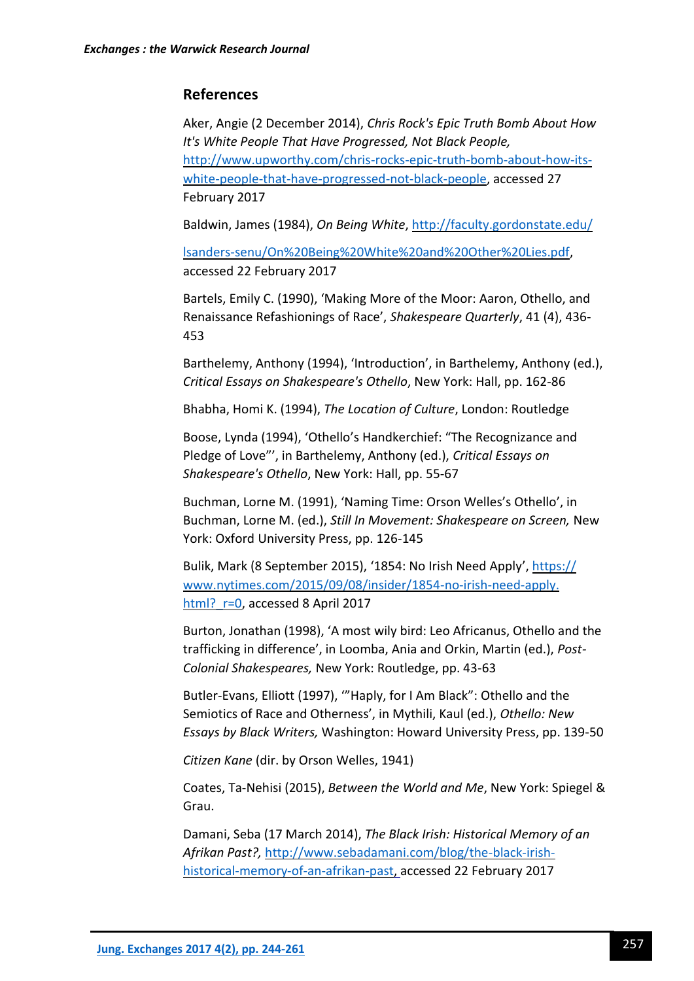### **References**

Aker, Angie (2 December 2014), *Chris Rock's Epic Truth Bomb About How It's White People That Have Progressed, Not Black People,*  [http://www.upworthy.com/chris-rocks-epic-truth-bomb-about-how-its](http://www.upworthy.com/chris-rocks-epic-truth-bomb-about-how-its-white-people-that-have-progressed-not-black-people)[white-people-that-have-progressed-not-black-people,](http://www.upworthy.com/chris-rocks-epic-truth-bomb-about-how-its-white-people-that-have-progressed-not-black-people) accessed 27 February 2017

Baldwin, James (1984), *On Being White*, [http://faculty.gordonstate.edu/](http://faculty.gordonstate.edu/%20lsanders-senu/On%20Being%20White%20and%20Other%20Lies.pdf)

[lsanders-senu/On%20Being%20White%20and%20Other%20Lies.pdf,](http://faculty.gordonstate.edu/%20lsanders-senu/On%20Being%20White%20and%20Other%20Lies.pdf) accessed 22 February 2017

Bartels, Emily C. (1990), 'Making More of the Moor: Aaron, Othello, and Renaissance Refashionings of Race', *Shakespeare Quarterly*, 41 (4), 436- 453

Barthelemy, Anthony (1994), 'Introduction', in Barthelemy, Anthony (ed.), *Critical Essays on Shakespeare's Othello*, New York: Hall, pp. 162-86

Bhabha, Homi K. (1994), *The Location of Culture*, London: Routledge

Boose, Lynda (1994), 'Othello's Handkerchief: "The Recognizance and Pledge of Love"', in Barthelemy, Anthony (ed.), *Critical Essays on Shakespeare's Othello*, New York: Hall, pp. 55-67

Buchman, Lorne M. (1991), 'Naming Time: Orson Welles's Othello', in Buchman, Lorne M. (ed.), *Still In Movement: Shakespeare on Screen,* New York: Oxford University Press, pp. 126-145

Bulik, Mark (8 September 2015), '1854: No Irish Need Apply', [https://](https://www.nytimes.com/2015/09/08/insider/1854-no-irish-need-apply.html?_r=0) [www.nytimes.com/2015/09/08/insider/1854-no-irish-need-apply.](https://www.nytimes.com/2015/09/08/insider/1854-no-irish-need-apply.html?_r=0) html? r=0, accessed 8 April 2017

Burton, Jonathan (1998), 'A most wily bird: Leo Africanus, Othello and the trafficking in difference', in Loomba, Ania and Orkin, Martin (ed.), *Post-Colonial Shakespeares,* New York: Routledge, pp. 43-63

Butler-Evans, Elliott (1997), '"Haply, for I Am Black": Othello and the Semiotics of Race and Otherness', in Mythili, Kaul (ed.), *Othello: New Essays by Black Writers,* Washington: Howard University Press, pp. 139-50

*Citizen Kane* (dir. by Orson Welles, 1941)

Coates, Ta-Nehisi (2015), *Between the World and Me*, New York: Spiegel & Grau.

Damani, Seba (17 March 2014), *The Black Irish: Historical Memory of an Afrikan Past?,* [http://www.sebadamani.com/blog/the-black-irish](http://www.sebadamani.com/blog/the-black-irish-historical-memory-of-an-afrikan-past)[historical-memory-of-an-afrikan-past,](http://www.sebadamani.com/blog/the-black-irish-historical-memory-of-an-afrikan-past) accessed 22 February 2017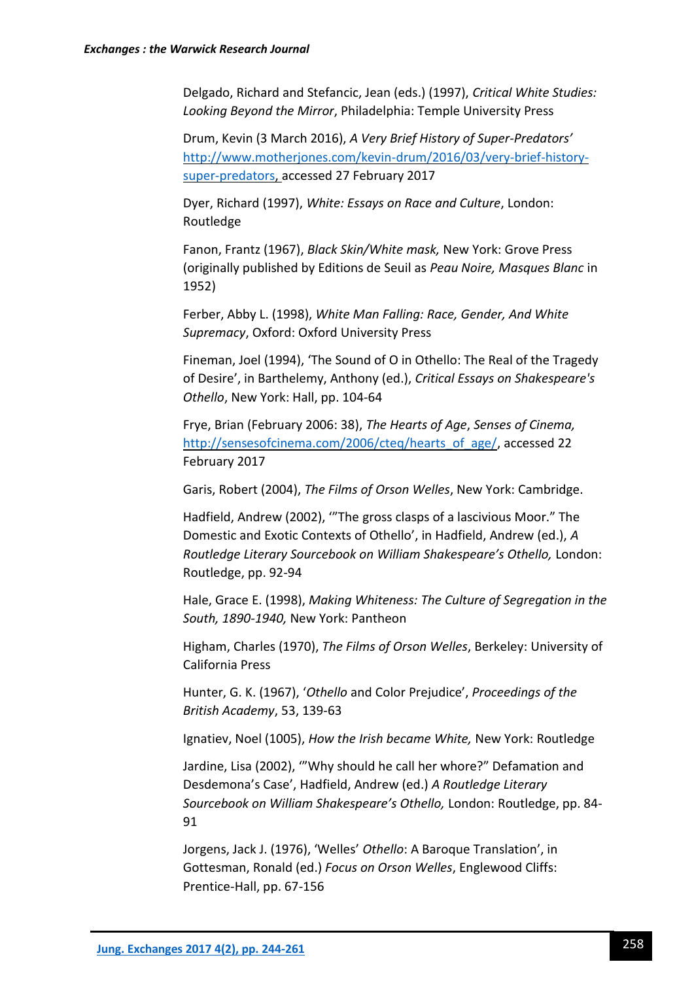Delgado, Richard and Stefancic, Jean (eds.) (1997), *Critical White Studies: Looking Beyond the Mirror*, Philadelphia: Temple University Press

Drum, Kevin (3 March 2016), *A Very Brief History of Super-Predators'*  [http://www.motherjones.com/kevin-drum/2016/03/very-brief-history](http://www.motherjones.com/kevin-drum/2016/03/very-brief-history-super-predators)[super-predators,](http://www.motherjones.com/kevin-drum/2016/03/very-brief-history-super-predators) accessed 27 February 2017

Dyer, Richard (1997), *White: Essays on Race and Culture*, London: Routledge

Fanon, Frantz (1967), *Black Skin/White mask,* New York: Grove Press (originally published by Editions de Seuil as *Peau Noire, Masques Blanc* in 1952)

Ferber, Abby L. (1998), *White Man Falling: Race, Gender, And White Supremacy*, Oxford: Oxford University Press

Fineman, Joel (1994), 'The Sound of O in Othello: The Real of the Tragedy of Desire', in Barthelemy, Anthony (ed.), *Critical Essays on Shakespeare's Othello*, New York: Hall, pp. 104-64

Frye, Brian (February 2006: 38), *The Hearts of Age*, *Senses of Cinema,*  [http://sensesofcinema.com/2006/cteq/hearts\\_of\\_age/,](http://sensesofcinema.com/2006/cteq/hearts_of_age/) accessed 22 February 2017

Garis, Robert (2004), *The Films of Orson Welles*, New York: Cambridge.

Hadfield, Andrew (2002), '"The gross clasps of a lascivious Moor." The Domestic and Exotic Contexts of Othello', in Hadfield, Andrew (ed.), *A Routledge Literary Sourcebook on William Shakespeare's Othello,* London: Routledge, pp. 92-94

Hale, Grace E. (1998), *Making Whiteness: The Culture of Segregation in the South, 1890-1940,* New York: Pantheon

Higham, Charles (1970), *The Films of Orson Welles*, Berkeley: University of California Press

Hunter, G. K. (1967), '*Othello* and Color Prejudice', *Proceedings of the British Academy*, 53, 139-63

Ignatiev, Noel (1005), *How the Irish became White,* New York: Routledge

Jardine, Lisa (2002), '"Why should he call her whore?" Defamation and Desdemona's Case', Hadfield, Andrew (ed.) *A Routledge Literary Sourcebook on William Shakespeare's Othello,* London: Routledge, pp. 84- 91

Jorgens, Jack J. (1976), 'Welles' *Othello*: A Baroque Translation', in Gottesman, Ronald (ed.) *Focus on Orson Welles*, Englewood Cliffs: Prentice-Hall, pp. 67-156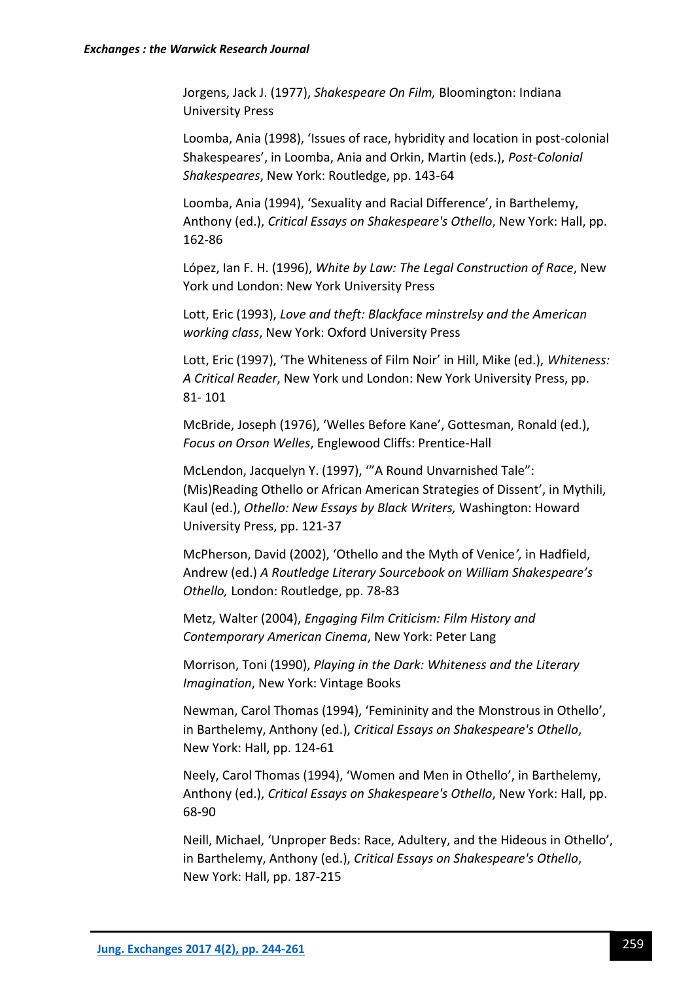Jorgens, Jack J. (1977), *Shakespeare On Film,* Bloomington: Indiana University Press

Loomba, Ania (1998), 'Issues of race, hybridity and location in post-colonial Shakespeares', in Loomba, Ania and Orkin, Martin (eds.), *Post-Colonial Shakespeares*, New York: Routledge, pp. 143-64

Loomba, Ania (1994), 'Sexuality and Racial Difference', in Barthelemy, Anthony (ed.), *Critical Essays on Shakespeare's Othello*, New York: Hall, pp. 162-86

López, Ian F. H. (1996), *White by Law: The Legal Construction of Race*, New York und London: New York University Press

Lott, Eric (1993), *Love and theft: Blackface minstrelsy and the American working class*, New York: Oxford University Press

Lott, Eric (1997), 'The Whiteness of Film Noir' in Hill, Mike (ed.), *Whiteness: A Critical Reader*, New York und London: New York University Press, pp. 81- 101

McBride, Joseph (1976), 'Welles Before Kane', Gottesman, Ronald (ed.), *Focus on Orson Welles*, Englewood Cliffs: Prentice-Hall

McLendon, Jacquelyn Y. (1997), '"A Round Unvarnished Tale": (Mis)Reading Othello or African American Strategies of Dissent', in Mythili, Kaul (ed.), *Othello: New Essays by Black Writers,* Washington: Howard University Press, pp. 121-37

McPherson, David (2002), 'Othello and the Myth of Venice*',* in Hadfield, Andrew (ed.) *A Routledge Literary Sourcebook on William Shakespeare's Othello,* London: Routledge, pp. 78-83

Metz, Walter (2004), *Engaging Film Criticism: Film History and Contemporary American Cinema*, New York: Peter Lang

Morrison, Toni (1990), *Playing in the Dark: Whiteness and the Literary Imagination*, New York: Vintage Books

Newman, Carol Thomas (1994), 'Femininity and the Monstrous in Othello', in Barthelemy, Anthony (ed.), *Critical Essays on Shakespeare's Othello*, New York: Hall, pp. 124-61

Neely, Carol Thomas (1994), 'Women and Men in Othello', in Barthelemy, Anthony (ed.), *Critical Essays on Shakespeare's Othello*, New York: Hall, pp. 68-90

Neill, Michael, 'Unproper Beds: Race, Adultery, and the Hideous in Othello', in Barthelemy, Anthony (ed.), *Critical Essays on Shakespeare's Othello*, New York: Hall, pp. 187-215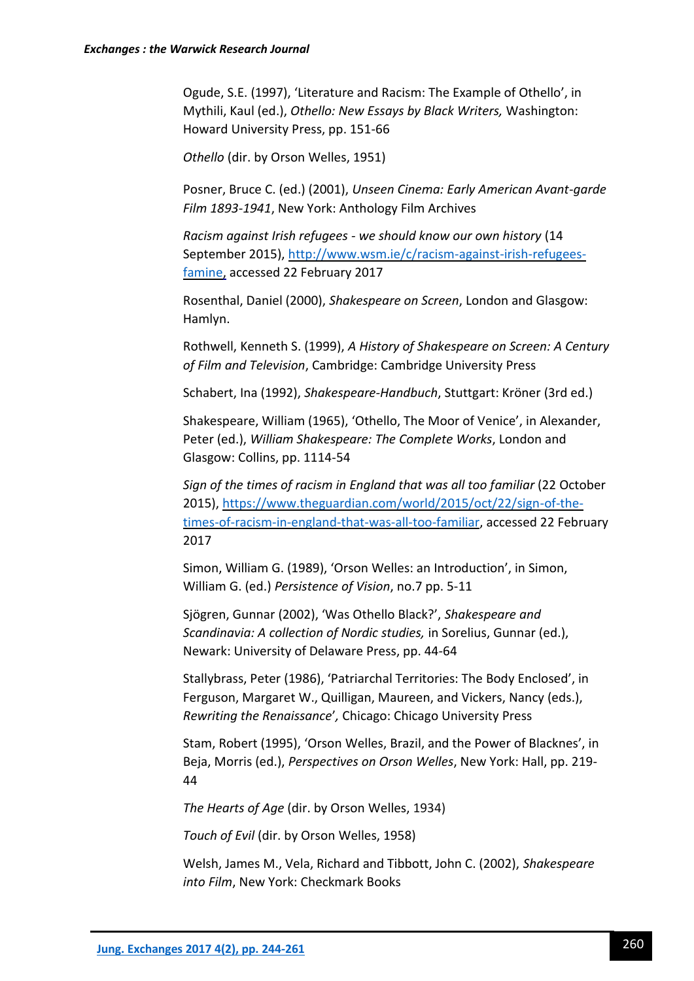Ogude, S.E. (1997), 'Literature and Racism: The Example of Othello', in Mythili, Kaul (ed.), *Othello: New Essays by Black Writers,* Washington: Howard University Press, pp. 151-66

*Othello* (dir. by Orson Welles, 1951)

Posner, Bruce C. (ed.) (2001), *Unseen Cinema: Early American Avant-garde Film 1893-1941*, New York: Anthology Film Archives

*Racism against Irish refugees - we should know our own history* (14 September 2015), [http://www.wsm.ie/c/racism-against-irish-refugees](http://www.wsm.ie/c/racism-against-irish-refugees-famine)[famine,](http://www.wsm.ie/c/racism-against-irish-refugees-famine) accessed 22 February 2017

Rosenthal, Daniel (2000), *Shakespeare on Screen*, London and Glasgow: Hamlyn.

Rothwell, Kenneth S. (1999), *A History of Shakespeare on Screen: A Century of Film and Television*, Cambridge: Cambridge University Press

Schabert, Ina (1992), *Shakespeare-Handbuch*, Stuttgart: Kröner (3rd ed.)

Shakespeare, William (1965), 'Othello, The Moor of Venice', in Alexander, Peter (ed.), *William Shakespeare: The Complete Works*, London and Glasgow: Collins, pp. 1114-54

*Sign of the times of racism in England that was all too familiar* (22 October 2015)[, https://www.theguardian.com/world/2015/oct/22/sign-of-the](https://www.theguardian.com/world/2015/oct/22/sign-of-the-times-of-racism-in-england-that-was-all-too-familiar)[times-of-racism-in-england-that-was-all-too-familiar,](https://www.theguardian.com/world/2015/oct/22/sign-of-the-times-of-racism-in-england-that-was-all-too-familiar) accessed 22 February 2017

Simon, William G. (1989), 'Orson Welles: an Introduction', in Simon, William G. (ed.) *Persistence of Vision*, no.7 pp. 5-11

Sjögren, Gunnar (2002), 'Was Othello Black?', *Shakespeare and Scandinavia: A collection of Nordic studies,* in Sorelius, Gunnar (ed.), Newark: University of Delaware Press, pp. 44-64

Stallybrass, Peter (1986), 'Patriarchal Territories: The Body Enclosed', in Ferguson, Margaret W., Quilligan, Maureen, and Vickers, Nancy (eds.), *Rewriting the Renaissance*'*,* Chicago: Chicago University Press

Stam, Robert (1995), 'Orson Welles, Brazil, and the Power of Blacknes', in Beja, Morris (ed.), *Perspectives on Orson Welles*, New York: Hall, pp. 219- 44

*The Hearts of Age* (dir. by Orson Welles, 1934)

*Touch of Evil* (dir. by Orson Welles, 1958)

Welsh, James M., Vela, Richard and Tibbott, John C. (2002), *Shakespeare into Film*, New York: Checkmark Books